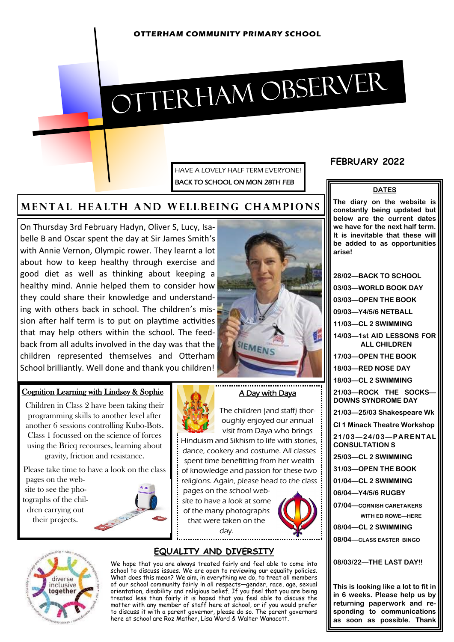# OTTERHAM OBSERVER

HAVE A LOVELY HALF TERM EVERYONE! BACK TO SCHOOL ON MON 28TH FEB

# **MENTAL HEALTH AND WELLBEING CHAMPIONS**

On Thursday 3rd February Hadyn, Oliver S, Lucy, Isabelle B and Oscar spent the day at Sir James Smith's with Annie Vernon, Olympic rower. They learnt a lot about how to keep healthy through exercise and good diet as well as thinking about keeping a healthy mind. Annie helped them to consider how they could share their knowledge and understanding with others back in school. The children's mission after half term is to put on playtime activities that may help others within the school. The feedback from all adults involved in the day was that the children represented themselves and Otterham School brilliantly. Well done and thank you children!



#### Cognition Learning with Lindsey & Sophie

Children in Class 2 have been taking their programming skills to another level after another 6 sessions controlling Kubo-Bots. Class 1 focussed on the science of forces using the Bricq recourses, learning about gravity, friction and resistance.

Please take time to have a look on the class

pages on the website to see the photographs of the children carrying out their projects.



site to have a look at some of the many photographs

## **EQUALITY AND DIVERSITY**

We hope that you are always treated fairly and feel able to come into school to discuss issues. We are open to reviewing our equality policies. What does this mean? We aim, in everything we do, to treat all members of our school community fairly in all respects—gender, race, age, sexual orientation, disability and religious belief. If you feel that you are being treated less than fairly it is hoped that you feel able to discuss the matter with any member of staff here at school, or if you would prefer to discuss it with a parent governor, please do so. The parent governors here at school are Roz Mather, Lisa Ward & Walter Wanacott.

# **FEBRUARY 2022**

#### **DATES**

**The diary on the website is constantly being updated but below are the current dates we have for the next half term. It is inevitable that these will be added to as opportunities arise!**

**28/02—BACK TO SCHOOL 03/03—WORLD BOOK DAY 03/03—OPEN THE BOOK 09/03—Y4/5/6 NETBALL 11/03—CL 2 SWIMMING 14/03—1st AID LESSONS FOR ALL CHILDREN 17/03—OPEN THE BOOK 18/03—RED NOSE DAY 18/03—CL 2 SWIMMING 21/03—ROCK THE SOCKS— DOWNS SYNDROME DAY 21/03—25/03 Shakespeare Wk Cl 1 Minack Theatre Workshop 21 /0 3—2 4/03—PARENTAL CONSULTATION S 25/03—CL 2 SWIMMING 31/03—OPEN THE BOOK 01/04—CL 2 SWIMMING 06/04—Y4/5/6 RUGBY 07/04—CORNISH CARETAKERS WITH ED ROWE—HERE 08/04—CL 2 SWIMMING 08/04—CLASS EASTER BINGO 08/03/22—THE LAST DAY!!**





## A Day with Daya

The children (and staff) thoroughly enjoyed our annual visit from Daya who brings

Hinduism and Sikhism to life with stories, dance, cookery and costume. All classes spent time benefitting from her wealth of knowledge and passion for these two religions. Again, please head to the class

pages on the school webthat were taken on the day. . . . . . . . . . . . . . .